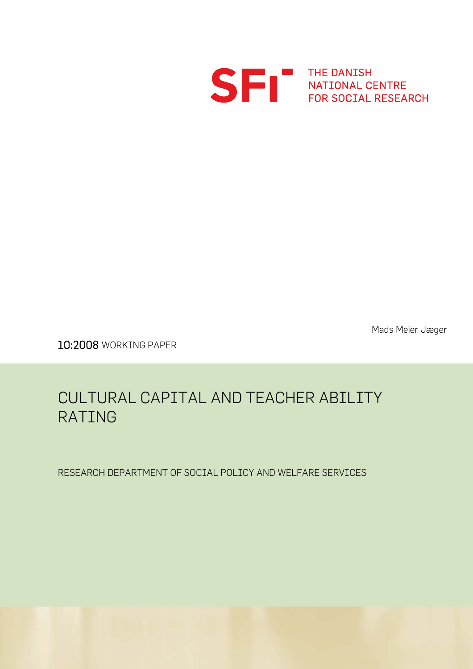

S FRI THE DANISH<br>FOR SOCIAL RESEARCH

Mads Meier Jæger

10:2008 WORKING PAPER

# CULTURAL CAPITAL AND TEACHER ABILITY RATING

RESEARCH DEPARTMENT OF SOCIAL POLICY AND WELFARE SERVICES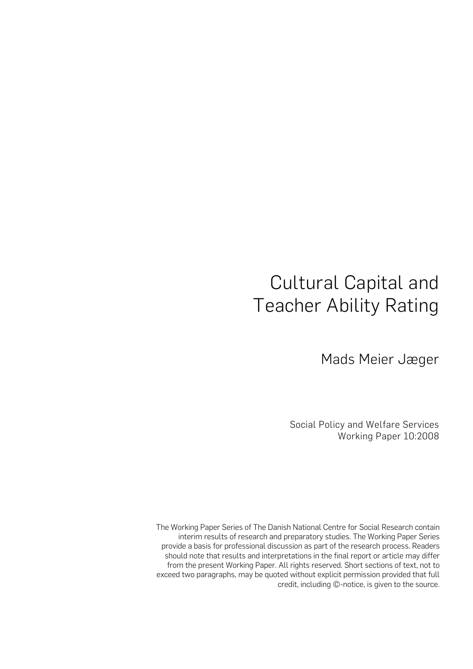# Cultural Capital and Teacher Ability Rating

Mads Meier Jæger

Social Policy and Welfare Services Working Paper 10:2008

The Working Paper Series of The Danish National Centre for Social Research contain interim results of research and preparatory studies. The Working Paper Series provide a basis for professional discussion as part of the research process. Readers should note that results and interpretations in the final report or article may differ from the present Working Paper. All rights reserved. Short sections of text, not to exceed two paragraphs, may be quoted without explicit permission provided that full credit, including ©-notice, is given to the source.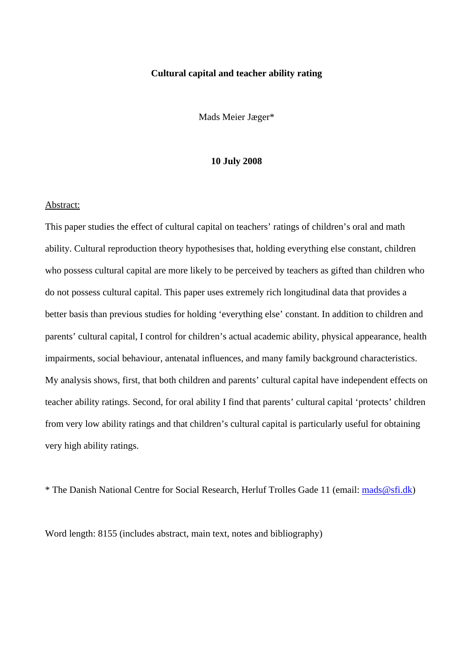# **Cultural capital and teacher ability rating**

Mads Meier Jæger\*

# **10 July 2008**

#### Abstract:

This paper studies the effect of cultural capital on teachers' ratings of children's oral and math ability. Cultural reproduction theory hypothesises that, holding everything else constant, children who possess cultural capital are more likely to be perceived by teachers as gifted than children who do not possess cultural capital. This paper uses extremely rich longitudinal data that provides a better basis than previous studies for holding 'everything else' constant. In addition to children and parents' cultural capital, I control for children's actual academic ability, physical appearance, health impairments, social behaviour, antenatal influences, and many family background characteristics. My analysis shows, first, that both children and parents' cultural capital have independent effects on teacher ability ratings. Second, for oral ability I find that parents' cultural capital 'protects' children from very low ability ratings and that children's cultural capital is particularly useful for obtaining very high ability ratings.

\* The Danish National Centre for Social Research, Herluf Trolles Gade 11 (email: [mads@sfi.dk\)](mailto:mads@sfi.dk)

Word length: 8155 (includes abstract, main text, notes and bibliography)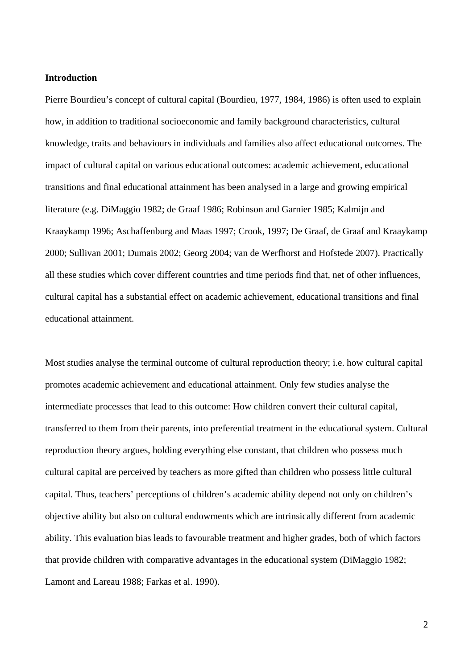# **Introduction**

Pierre Bourdieu's concept of cultural capital (Bourdieu, 1977, 1984, 1986) is often used to explain how, in addition to traditional socioeconomic and family background characteristics, cultural knowledge, traits and behaviours in individuals and families also affect educational outcomes. The impact of cultural capital on various educational outcomes: academic achievement, educational transitions and final educational attainment has been analysed in a large and growing empirical literature (e.g. DiMaggio 1982; de Graaf 1986; Robinson and Garnier 1985; Kalmijn and Kraaykamp 1996; Aschaffenburg and Maas 1997; Crook, 1997; De Graaf, de Graaf and Kraaykamp 2000; Sullivan 2001; Dumais 2002; Georg 2004; van de Werfhorst and Hofstede 2007). Practically all these studies which cover different countries and time periods find that, net of other influences, cultural capital has a substantial effect on academic achievement, educational transitions and final educational attainment.

Most studies analyse the terminal outcome of cultural reproduction theory; i.e. how cultural capital promotes academic achievement and educational attainment. Only few studies analyse the intermediate processes that lead to this outcome: How children convert their cultural capital, transferred to them from their parents, into preferential treatment in the educational system. Cultural reproduction theory argues, holding everything else constant, that children who possess much cultural capital are perceived by teachers as more gifted than children who possess little cultural capital. Thus, teachers' perceptions of children's academic ability depend not only on children's objective ability but also on cultural endowments which are intrinsically different from academic ability. This evaluation bias leads to favourable treatment and higher grades, both of which factors that provide children with comparative advantages in the educational system (DiMaggio 1982; Lamont and Lareau 1988; Farkas et al. 1990).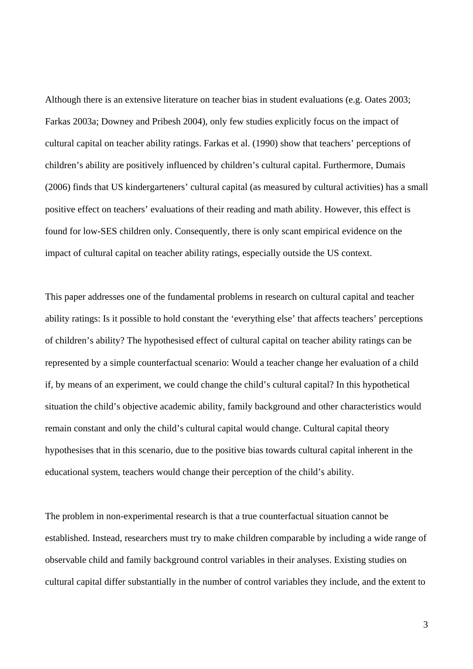Although there is an extensive literature on teacher bias in student evaluations (e.g. Oates 2003; Farkas 2003a; Downey and Pribesh 2004), only few studies explicitly focus on the impact of cultural capital on teacher ability ratings. Farkas et al. (1990) show that teachers' perceptions of children's ability are positively influenced by children's cultural capital. Furthermore, Dumais (2006) finds that US kindergarteners' cultural capital (as measured by cultural activities) has a small positive effect on teachers' evaluations of their reading and math ability. However, this effect is found for low-SES children only. Consequently, there is only scant empirical evidence on the impact of cultural capital on teacher ability ratings, especially outside the US context.

This paper addresses one of the fundamental problems in research on cultural capital and teacher ability ratings: Is it possible to hold constant the 'everything else' that affects teachers' perceptions of children's ability? The hypothesised effect of cultural capital on teacher ability ratings can be represented by a simple counterfactual scenario: Would a teacher change her evaluation of a child if, by means of an experiment, we could change the child's cultural capital? In this hypothetical situation the child's objective academic ability, family background and other characteristics would remain constant and only the child's cultural capital would change. Cultural capital theory hypothesises that in this scenario, due to the positive bias towards cultural capital inherent in the educational system, teachers would change their perception of the child's ability.

The problem in non-experimental research is that a true counterfactual situation cannot be established. Instead, researchers must try to make children comparable by including a wide range of observable child and family background control variables in their analyses. Existing studies on cultural capital differ substantially in the number of control variables they include, and the extent to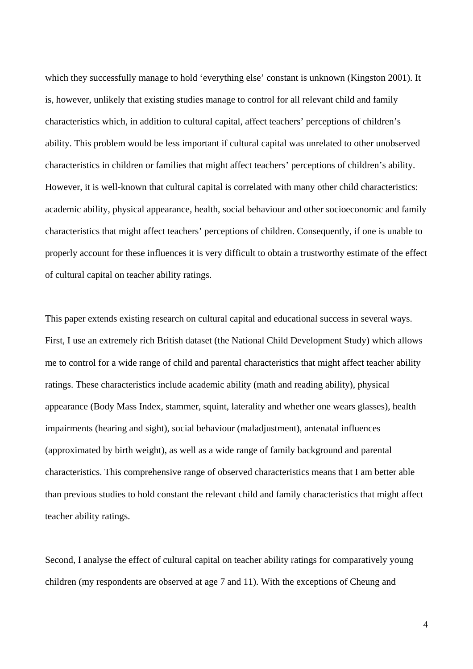which they successfully manage to hold 'everything else' constant is unknown (Kingston 2001). It is, however, unlikely that existing studies manage to control for all relevant child and family characteristics which, in addition to cultural capital, affect teachers' perceptions of children's ability. This problem would be less important if cultural capital was unrelated to other unobserved characteristics in children or families that might affect teachers' perceptions of children's ability. However, it is well-known that cultural capital is correlated with many other child characteristics: academic ability, physical appearance, health, social behaviour and other socioeconomic and family characteristics that might affect teachers' perceptions of children. Consequently, if one is unable to properly account for these influences it is very difficult to obtain a trustworthy estimate of the effect of cultural capital on teacher ability ratings.

This paper extends existing research on cultural capital and educational success in several ways. First, I use an extremely rich British dataset (the National Child Development Study) which allows me to control for a wide range of child and parental characteristics that might affect teacher ability ratings. These characteristics include academic ability (math and reading ability), physical appearance (Body Mass Index, stammer, squint, laterality and whether one wears glasses), health impairments (hearing and sight), social behaviour (maladjustment), antenatal influences (approximated by birth weight), as well as a wide range of family background and parental characteristics. This comprehensive range of observed characteristics means that I am better able than previous studies to hold constant the relevant child and family characteristics that might affect teacher ability ratings.

Second, I analyse the effect of cultural capital on teacher ability ratings for comparatively young children (my respondents are observed at age 7 and 11). With the exceptions of Cheung and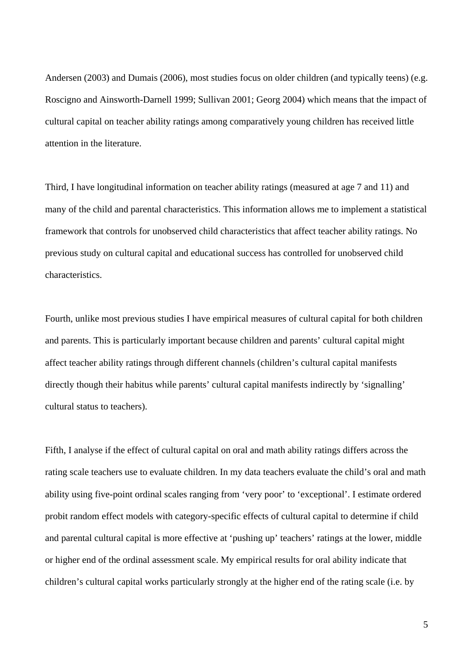Andersen (2003) and Dumais (2006), most studies focus on older children (and typically teens) (e.g. Roscigno and Ainsworth-Darnell 1999; Sullivan 2001; Georg 2004) which means that the impact of cultural capital on teacher ability ratings among comparatively young children has received little attention in the literature.

Third, I have longitudinal information on teacher ability ratings (measured at age 7 and 11) and many of the child and parental characteristics. This information allows me to implement a statistical framework that controls for unobserved child characteristics that affect teacher ability ratings. No previous study on cultural capital and educational success has controlled for unobserved child characteristics.

Fourth, unlike most previous studies I have empirical measures of cultural capital for both children and parents. This is particularly important because children and parents' cultural capital might affect teacher ability ratings through different channels (children's cultural capital manifests directly though their habitus while parents' cultural capital manifests indirectly by 'signalling' cultural status to teachers).

Fifth, I analyse if the effect of cultural capital on oral and math ability ratings differs across the rating scale teachers use to evaluate children. In my data teachers evaluate the child's oral and math ability using five-point ordinal scales ranging from 'very poor' to 'exceptional'. I estimate ordered probit random effect models with category-specific effects of cultural capital to determine if child and parental cultural capital is more effective at 'pushing up' teachers' ratings at the lower, middle or higher end of the ordinal assessment scale. My empirical results for oral ability indicate that children's cultural capital works particularly strongly at the higher end of the rating scale (i.e. by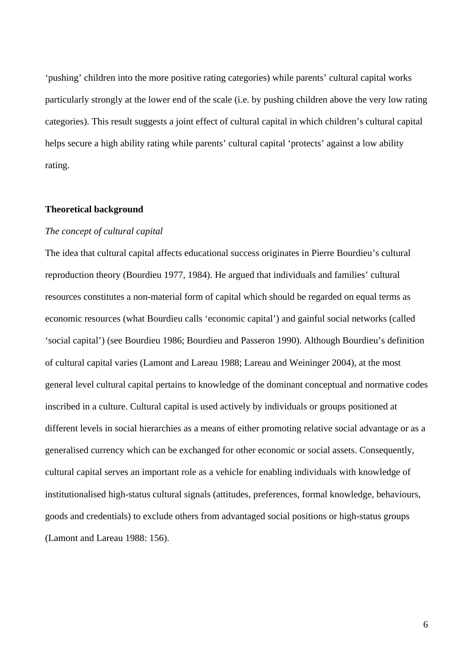'pushing' children into the more positive rating categories) while parents' cultural capital works particularly strongly at the lower end of the scale (i.e. by pushing children above the very low rating categories). This result suggests a joint effect of cultural capital in which children's cultural capital helps secure a high ability rating while parents' cultural capital 'protects' against a low ability rating.

#### **Theoretical background**

# *The concept of cultural capital*

The idea that cultural capital affects educational success originates in Pierre Bourdieu's cultural reproduction theory (Bourdieu 1977, 1984). He argued that individuals and families' cultural resources constitutes a non-material form of capital which should be regarded on equal terms as economic resources (what Bourdieu calls 'economic capital') and gainful social networks (called 'social capital') (see Bourdieu 1986; Bourdieu and Passeron 1990). Although Bourdieu's definition of cultural capital varies (Lamont and Lareau 1988; Lareau and Weininger 2004), at the most general level cultural capital pertains to knowledge of the dominant conceptual and normative codes inscribed in a culture. Cultural capital is used actively by individuals or groups positioned at different levels in social hierarchies as a means of either promoting relative social advantage or as a generalised currency which can be exchanged for other economic or social assets. Consequently, cultural capital serves an important role as a vehicle for enabling individuals with knowledge of institutionalised high-status cultural signals (attitudes, preferences, formal knowledge, behaviours, goods and credentials) to exclude others from advantaged social positions or high-status groups (Lamont and Lareau 1988: 156).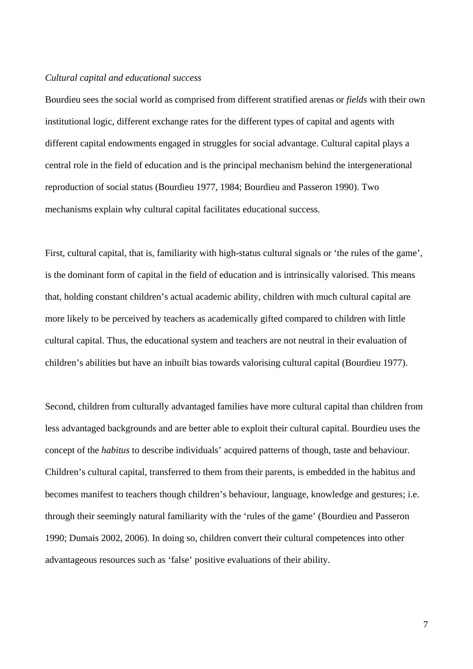# *Cultural capital and educational success*

Bourdieu sees the social world as comprised from different stratified arenas or *fields* with their own institutional logic, different exchange rates for the different types of capital and agents with different capital endowments engaged in struggles for social advantage. Cultural capital plays a central role in the field of education and is the principal mechanism behind the intergenerational reproduction of social status (Bourdieu 1977, 1984; Bourdieu and Passeron 1990). Two mechanisms explain why cultural capital facilitates educational success.

First, cultural capital, that is, familiarity with high-status cultural signals or 'the rules of the game', is the dominant form of capital in the field of education and is intrinsically valorised. This means that, holding constant children's actual academic ability, children with much cultural capital are more likely to be perceived by teachers as academically gifted compared to children with little cultural capital. Thus, the educational system and teachers are not neutral in their evaluation of children's abilities but have an inbuilt bias towards valorising cultural capital (Bourdieu 1977).

Second, children from culturally advantaged families have more cultural capital than children from less advantaged backgrounds and are better able to exploit their cultural capital. Bourdieu uses the concept of the *habitus* to describe individuals' acquired patterns of though, taste and behaviour. Children's cultural capital, transferred to them from their parents, is embedded in the habitus and becomes manifest to teachers though children's behaviour, language, knowledge and gestures; i.e. through their seemingly natural familiarity with the 'rules of the game' (Bourdieu and Passeron 1990; Dumais 2002, 2006). In doing so, children convert their cultural competences into other advantageous resources such as 'false' positive evaluations of their ability.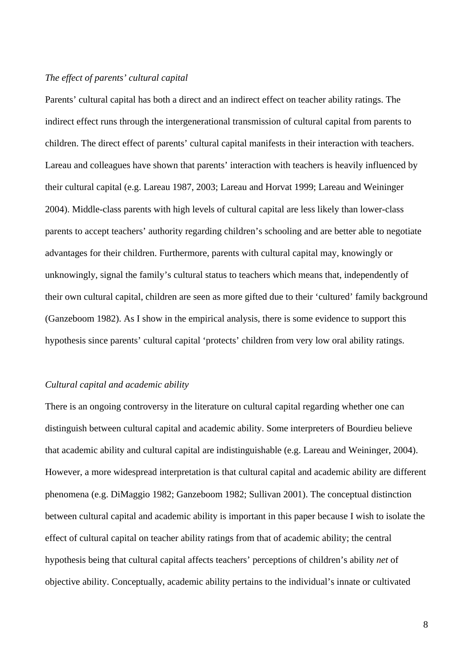# *The effect of parents' cultural capital*

Parents' cultural capital has both a direct and an indirect effect on teacher ability ratings. The indirect effect runs through the intergenerational transmission of cultural capital from parents to children. The direct effect of parents' cultural capital manifests in their interaction with teachers. Lareau and colleagues have shown that parents' interaction with teachers is heavily influenced by their cultural capital (e.g. Lareau 1987, 2003; Lareau and Horvat 1999; Lareau and Weininger 2004). Middle-class parents with high levels of cultural capital are less likely than lower-class parents to accept teachers' authority regarding children's schooling and are better able to negotiate advantages for their children. Furthermore, parents with cultural capital may, knowingly or unknowingly, signal the family's cultural status to teachers which means that, independently of their own cultural capital, children are seen as more gifted due to their 'cultured' family background (Ganzeboom 1982). As I show in the empirical analysis, there is some evidence to support this hypothesis since parents' cultural capital 'protects' children from very low oral ability ratings.

# *Cultural capital and academic ability*

There is an ongoing controversy in the literature on cultural capital regarding whether one can distinguish between cultural capital and academic ability. Some interpreters of Bourdieu believe that academic ability and cultural capital are indistinguishable (e.g. Lareau and Weininger, 2004). However, a more widespread interpretation is that cultural capital and academic ability are different phenomena (e.g. DiMaggio 1982; Ganzeboom 1982; Sullivan 2001). The conceptual distinction between cultural capital and academic ability is important in this paper because I wish to isolate the effect of cultural capital on teacher ability ratings from that of academic ability; the central hypothesis being that cultural capital affects teachers' perceptions of children's ability *net* of objective ability. Conceptually, academic ability pertains to the individual's innate or cultivated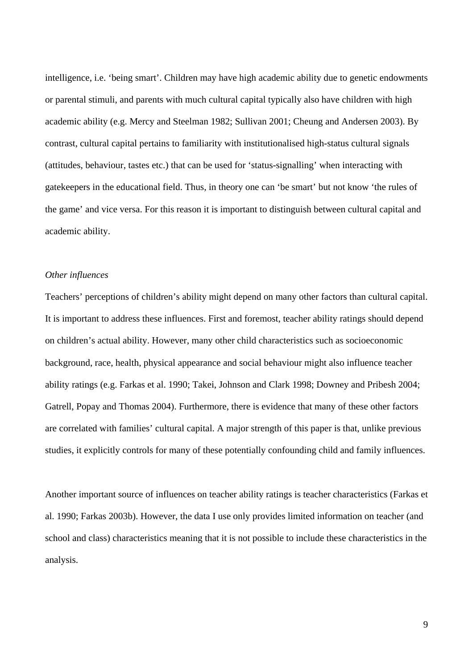intelligence, i.e. 'being smart'. Children may have high academic ability due to genetic endowments or parental stimuli, and parents with much cultural capital typically also have children with high academic ability (e.g. Mercy and Steelman 1982; Sullivan 2001; Cheung and Andersen 2003). By contrast, cultural capital pertains to familiarity with institutionalised high-status cultural signals (attitudes, behaviour, tastes etc.) that can be used for 'status-signalling' when interacting with gatekeepers in the educational field. Thus, in theory one can 'be smart' but not know 'the rules of the game' and vice versa. For this reason it is important to distinguish between cultural capital and academic ability.

# *Other influences*

Teachers' perceptions of children's ability might depend on many other factors than cultural capital. It is important to address these influences. First and foremost, teacher ability ratings should depend on children's actual ability. However, many other child characteristics such as socioeconomic background, race, health, physical appearance and social behaviour might also influence teacher ability ratings (e.g. Farkas et al. 1990; Takei, Johnson and Clark 1998; Downey and Pribesh 2004; Gatrell, Popay and Thomas 2004). Furthermore, there is evidence that many of these other factors are correlated with families' cultural capital. A major strength of this paper is that, unlike previous studies, it explicitly controls for many of these potentially confounding child and family influences.

Another important source of influences on teacher ability ratings is teacher characteristics (Farkas et al. 1990; Farkas 2003b). However, the data I use only provides limited information on teacher (and school and class) characteristics meaning that it is not possible to include these characteristics in the analysis.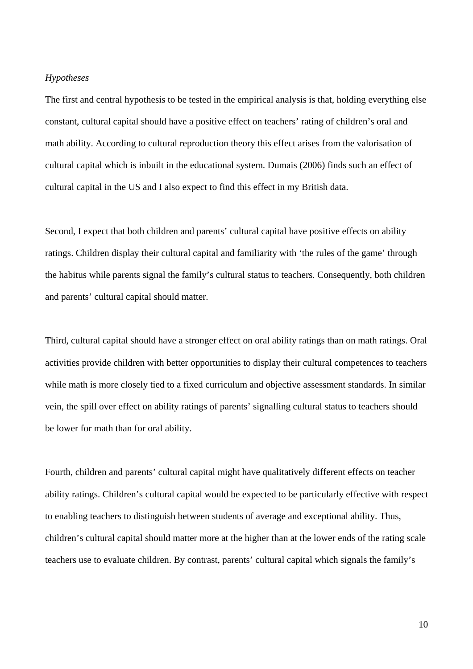#### *Hypotheses*

The first and central hypothesis to be tested in the empirical analysis is that, holding everything else constant, cultural capital should have a positive effect on teachers' rating of children's oral and math ability. According to cultural reproduction theory this effect arises from the valorisation of cultural capital which is inbuilt in the educational system. Dumais (2006) finds such an effect of cultural capital in the US and I also expect to find this effect in my British data.

Second, I expect that both children and parents' cultural capital have positive effects on ability ratings. Children display their cultural capital and familiarity with 'the rules of the game' through the habitus while parents signal the family's cultural status to teachers. Consequently, both children and parents' cultural capital should matter.

Third, cultural capital should have a stronger effect on oral ability ratings than on math ratings. Oral activities provide children with better opportunities to display their cultural competences to teachers while math is more closely tied to a fixed curriculum and objective assessment standards. In similar vein, the spill over effect on ability ratings of parents' signalling cultural status to teachers should be lower for math than for oral ability.

Fourth, children and parents' cultural capital might have qualitatively different effects on teacher ability ratings. Children's cultural capital would be expected to be particularly effective with respect to enabling teachers to distinguish between students of average and exceptional ability. Thus, children's cultural capital should matter more at the higher than at the lower ends of the rating scale teachers use to evaluate children. By contrast, parents' cultural capital which signals the family's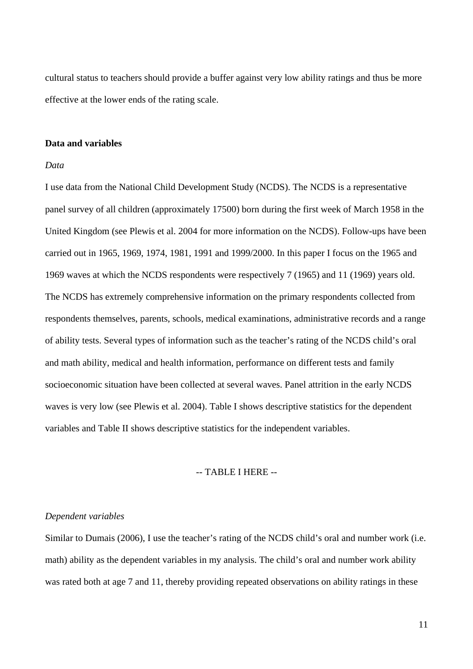cultural status to teachers should provide a buffer against very low ability ratings and thus be more effective at the lower ends of the rating scale.

# **Data and variables**

# *Data*

I use data from the National Child Development Study (NCDS). The NCDS is a representative panel survey of all children (approximately 17500) born during the first week of March 1958 in the United Kingdom (see Plewis et al. 2004 for more information on the NCDS). Follow-ups have been carried out in 1965, 1969, 1974, 1981, 1991 and 1999/2000. In this paper I focus on the 1965 and 1969 waves at which the NCDS respondents were respectively 7 (1965) and 11 (1969) years old. The NCDS has extremely comprehensive information on the primary respondents collected from respondents themselves, parents, schools, medical examinations, administrative records and a range of ability tests. Several types of information such as the teacher's rating of the NCDS child's oral and math ability, medical and health information, performance on different tests and family socioeconomic situation have been collected at several waves. Panel attrition in the early NCDS waves is very low (see Plewis et al. 2004). Table I shows descriptive statistics for the dependent variables and Table II shows descriptive statistics for the independent variables.

# -- TABLE I HERE --

# *Dependent variables*

Similar to Dumais (2006), I use the teacher's rating of the NCDS child's oral and number work (i.e. math) ability as the dependent variables in my analysis. The child's oral and number work ability was rated both at age 7 and 11, thereby providing repeated observations on ability ratings in these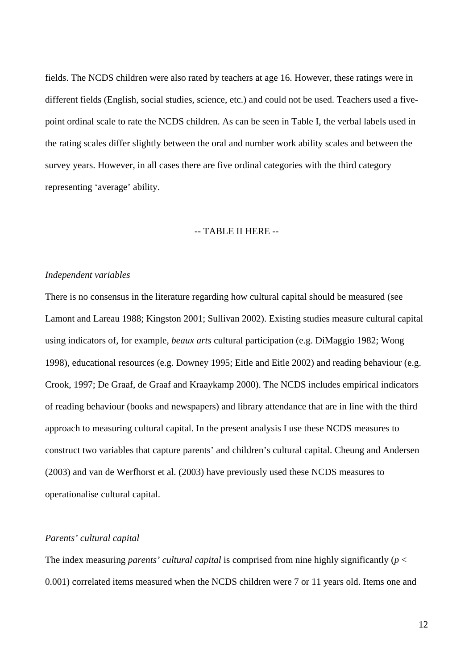fields. The NCDS children were also rated by teachers at age 16. However, these ratings were in different fields (English, social studies, science, etc.) and could not be used. Teachers used a fivepoint ordinal scale to rate the NCDS children. As can be seen in Table I, the verbal labels used in the rating scales differ slightly between the oral and number work ability scales and between the survey years. However, in all cases there are five ordinal categories with the third category representing 'average' ability.

# -- TABLE II HERE --

#### *Independent variables*

There is no consensus in the literature regarding how cultural capital should be measured (see Lamont and Lareau 1988; Kingston 2001; Sullivan 2002). Existing studies measure cultural capital using indicators of, for example, *beaux arts* cultural participation (e.g. DiMaggio 1982; Wong 1998), educational resources (e.g. Downey 1995; Eitle and Eitle 2002) and reading behaviour (e.g. Crook, 1997; De Graaf, de Graaf and Kraaykamp 2000). The NCDS includes empirical indicators of reading behaviour (books and newspapers) and library attendance that are in line with the third approach to measuring cultural capital. In the present analysis I use these NCDS measures to construct two variables that capture parents' and children's cultural capital. Cheung and Andersen (2003) and van de Werfhorst et al. (2003) have previously used these NCDS measures to operationalise cultural capital.

# *Parents' cultural capital*

The index measuring *parents' cultural capital* is comprised from nine highly significantly (*p* < 0.001) correlated items measured when the NCDS children were 7 or 11 years old. Items one and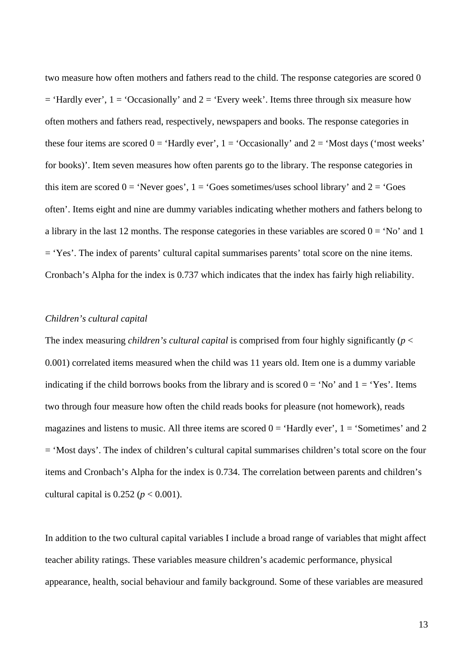two measure how often mothers and fathers read to the child. The response categories are scored 0  $=$  'Hardly ever', 1 = 'Occasionally' and 2 = 'Every week'. Items three through six measure how often mothers and fathers read, respectively, newspapers and books. The response categories in these four items are scored  $0 = 'Hardly ever', 1 = 'Occasionally'$  and  $2 = 'Most days'$  ('most weeks' for books)'. Item seven measures how often parents go to the library. The response categories in this item are scored  $0 = 'Never goes', 1 = 'Goes sometimes/uses school library' and 2 = 'Goes$ often'. Items eight and nine are dummy variables indicating whether mothers and fathers belong to a library in the last 12 months. The response categories in these variables are scored  $0 = 'No'$  and 1 = 'Yes'. The index of parents' cultural capital summarises parents' total score on the nine items. Cronbach's Alpha for the index is 0.737 which indicates that the index has fairly high reliability.

# *Children's cultural capital*

The index measuring *children's cultural capital* is comprised from four highly significantly ( $p <$ 0.001) correlated items measured when the child was 11 years old. Item one is a dummy variable indicating if the child borrows books from the library and is scored  $0 = 'No'$  and  $1 = 'Yes'.$  Items two through four measure how often the child reads books for pleasure (not homework), reads magazines and listens to music. All three items are scored  $0 = 'Hardly ever', 1 = 'Sometimes'$  and 2 = 'Most days'. The index of children's cultural capital summarises children's total score on the four items and Cronbach's Alpha for the index is 0.734. The correlation between parents and children's cultural capital is  $0.252$  ( $p < 0.001$ ).

In addition to the two cultural capital variables I include a broad range of variables that might affect teacher ability ratings. These variables measure children's academic performance, physical appearance, health, social behaviour and family background. Some of these variables are measured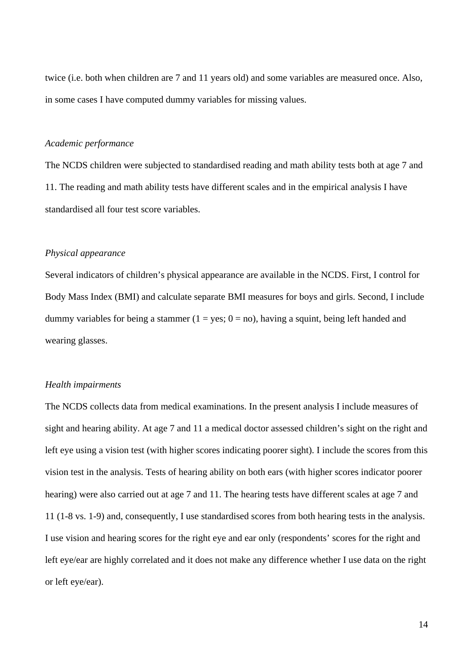twice (i.e. both when children are 7 and 11 years old) and some variables are measured once. Also, in some cases I have computed dummy variables for missing values.

# *Academic performance*

The NCDS children were subjected to standardised reading and math ability tests both at age 7 and 11. The reading and math ability tests have different scales and in the empirical analysis I have standardised all four test score variables.

# *Physical appearance*

Several indicators of children's physical appearance are available in the NCDS. First, I control for Body Mass Index (BMI) and calculate separate BMI measures for boys and girls. Second, I include dummy variables for being a stammer ( $1 = yes$ ;  $0 = no$ ), having a squint, being left handed and wearing glasses.

#### *Health impairments*

The NCDS collects data from medical examinations. In the present analysis I include measures of sight and hearing ability. At age 7 and 11 a medical doctor assessed children's sight on the right and left eye using a vision test (with higher scores indicating poorer sight). I include the scores from this vision test in the analysis. Tests of hearing ability on both ears (with higher scores indicator poorer hearing) were also carried out at age 7 and 11. The hearing tests have different scales at age 7 and 11 (1-8 vs. 1-9) and, consequently, I use standardised scores from both hearing tests in the analysis. I use vision and hearing scores for the right eye and ear only (respondents' scores for the right and left eye/ear are highly correlated and it does not make any difference whether I use data on the right or left eye/ear).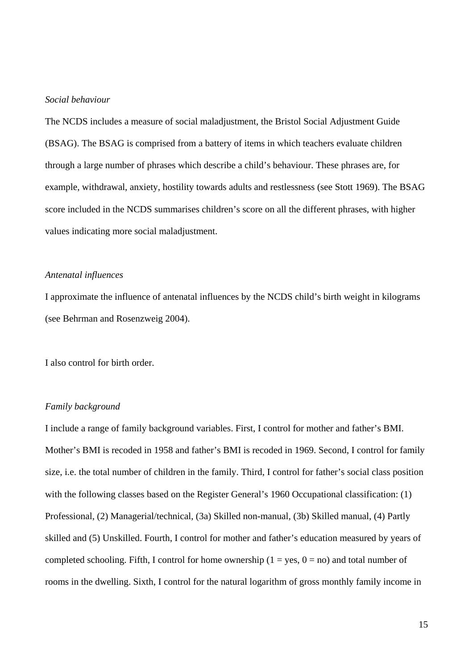# *Social behaviour*

The NCDS includes a measure of social maladjustment, the Bristol Social Adjustment Guide (BSAG). The BSAG is comprised from a battery of items in which teachers evaluate children through a large number of phrases which describe a child's behaviour. These phrases are, for example, withdrawal, anxiety, hostility towards adults and restlessness (see Stott 1969). The BSAG score included in the NCDS summarises children's score on all the different phrases, with higher values indicating more social maladjustment.

# *Antenatal influences*

I approximate the influence of antenatal influences by the NCDS child's birth weight in kilograms (see Behrman and Rosenzweig 2004).

I also control for birth order.

# *Family background*

I include a range of family background variables. First, I control for mother and father's BMI. Mother's BMI is recoded in 1958 and father's BMI is recoded in 1969. Second, I control for family size, i.e. the total number of children in the family. Third, I control for father's social class position with the following classes based on the Register General's 1960 Occupational classification: (1) Professional, (2) Managerial/technical, (3a) Skilled non-manual, (3b) Skilled manual, (4) Partly skilled and (5) Unskilled. Fourth, I control for mother and father's education measured by years of completed schooling. Fifth, I control for home ownership ( $1 = yes$ ,  $0 = no$ ) and total number of rooms in the dwelling. Sixth, I control for the natural logarithm of gross monthly family income in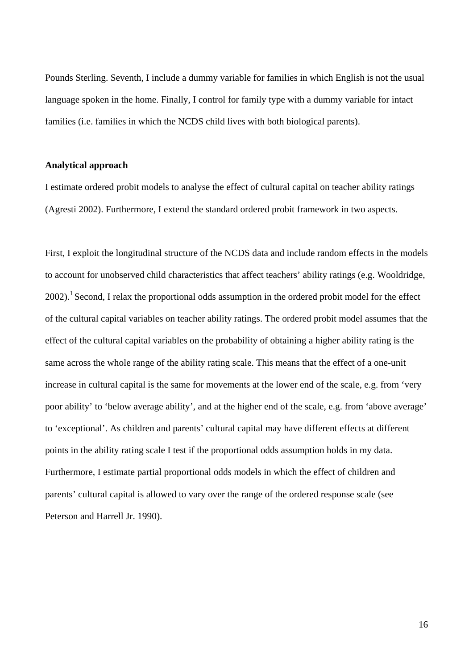Pounds Sterling. Seventh, I include a dummy variable for families in which English is not the usual language spoken in the home. Finally, I control for family type with a dummy variable for intact families (i.e. families in which the NCDS child lives with both biological parents).

# **Analytical approach**

I estimate ordered probit models to analyse the effect of cultural capital on teacher ability ratings (Agresti 2002). Furthermore, I extend the standard ordered probit framework in two aspects.

First, I exploit the longitudinal structure of the NCDS data and include random effects in the models to account for unobserved child characteristics that affect teachers' ability ratings (e.g. Wooldridge,  $2002$ ).<sup>1</sup> Second, I relax the proportional odds assumption in the ordered probit model for the effect of the cultural capital variables on teacher ability ratings. The ordered probit model assumes that the effect of the cultural capital variables on the probability of obtaining a higher ability rating is the same across the whole range of the ability rating scale. This means that the effect of a one-unit increase in cultural capital is the same for movements at the lower end of the scale, e.g. from 'very poor ability' to 'below average ability', and at the higher end of the scale, e.g. from 'above average' to 'exceptional'. As children and parents' cultural capital may have different effects at different points in the ability rating scale I test if the proportional odds assumption holds in my data. Furthermore, I estimate partial proportional odds models in which the effect of children and parents' cultural capital is allowed to vary over the range of the ordered response scale (see Peterson and Harrell Jr. 1990).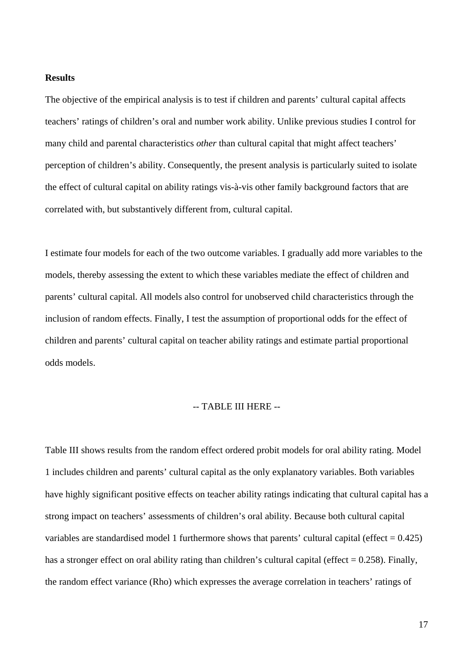# **Results**

The objective of the empirical analysis is to test if children and parents' cultural capital affects teachers' ratings of children's oral and number work ability. Unlike previous studies I control for many child and parental characteristics *other* than cultural capital that might affect teachers' perception of children's ability. Consequently, the present analysis is particularly suited to isolate the effect of cultural capital on ability ratings vis-à-vis other family background factors that are correlated with, but substantively different from, cultural capital.

I estimate four models for each of the two outcome variables. I gradually add more variables to the models, thereby assessing the extent to which these variables mediate the effect of children and parents' cultural capital. All models also control for unobserved child characteristics through the inclusion of random effects. Finally, I test the assumption of proportional odds for the effect of children and parents' cultural capital on teacher ability ratings and estimate partial proportional odds models.

# -- TABLE III HERE --

Table III shows results from the random effect ordered probit models for oral ability rating. Model 1 includes children and parents' cultural capital as the only explanatory variables. Both variables have highly significant positive effects on teacher ability ratings indicating that cultural capital has a strong impact on teachers' assessments of children's oral ability. Because both cultural capital variables are standardised model 1 furthermore shows that parents' cultural capital (effect  $= 0.425$ ) has a stronger effect on oral ability rating than children's cultural capital (effect  $= 0.258$ ). Finally, the random effect variance (Rho) which expresses the average correlation in teachers' ratings of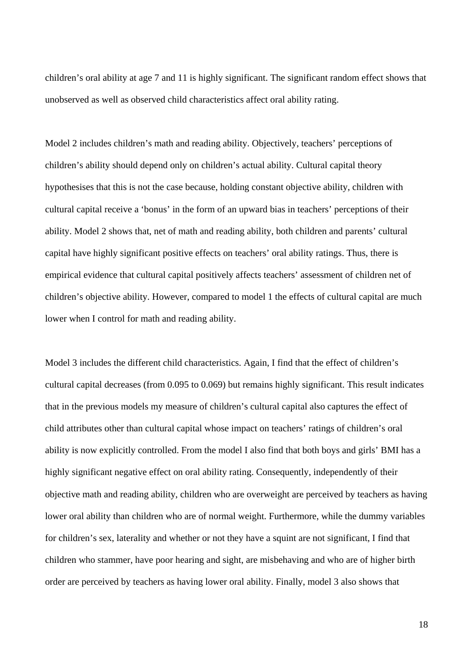children's oral ability at age 7 and 11 is highly significant. The significant random effect shows that unobserved as well as observed child characteristics affect oral ability rating.

Model 2 includes children's math and reading ability. Objectively, teachers' perceptions of children's ability should depend only on children's actual ability. Cultural capital theory hypothesises that this is not the case because, holding constant objective ability, children with cultural capital receive a 'bonus' in the form of an upward bias in teachers' perceptions of their ability. Model 2 shows that, net of math and reading ability, both children and parents' cultural capital have highly significant positive effects on teachers' oral ability ratings. Thus, there is empirical evidence that cultural capital positively affects teachers' assessment of children net of children's objective ability. However, compared to model 1 the effects of cultural capital are much lower when I control for math and reading ability.

Model 3 includes the different child characteristics. Again, I find that the effect of children's cultural capital decreases (from 0.095 to 0.069) but remains highly significant. This result indicates that in the previous models my measure of children's cultural capital also captures the effect of child attributes other than cultural capital whose impact on teachers' ratings of children's oral ability is now explicitly controlled. From the model I also find that both boys and girls' BMI has a highly significant negative effect on oral ability rating. Consequently, independently of their objective math and reading ability, children who are overweight are perceived by teachers as having lower oral ability than children who are of normal weight. Furthermore, while the dummy variables for children's sex, laterality and whether or not they have a squint are not significant, I find that children who stammer, have poor hearing and sight, are misbehaving and who are of higher birth order are perceived by teachers as having lower oral ability. Finally, model 3 also shows that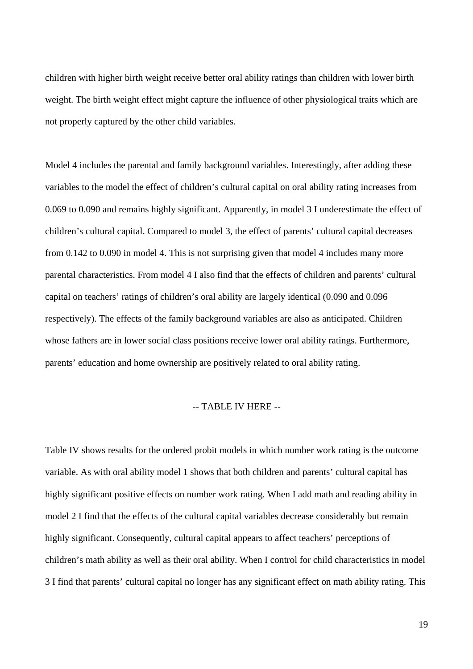children with higher birth weight receive better oral ability ratings than children with lower birth weight. The birth weight effect might capture the influence of other physiological traits which are not properly captured by the other child variables.

Model 4 includes the parental and family background variables. Interestingly, after adding these variables to the model the effect of children's cultural capital on oral ability rating increases from 0.069 to 0.090 and remains highly significant. Apparently, in model 3 I underestimate the effect of children's cultural capital. Compared to model 3, the effect of parents' cultural capital decreases from 0.142 to 0.090 in model 4. This is not surprising given that model 4 includes many more parental characteristics. From model 4 I also find that the effects of children and parents' cultural capital on teachers' ratings of children's oral ability are largely identical (0.090 and 0.096 respectively). The effects of the family background variables are also as anticipated. Children whose fathers are in lower social class positions receive lower oral ability ratings. Furthermore, parents' education and home ownership are positively related to oral ability rating.

# -- TABLE IV HERE --

Table IV shows results for the ordered probit models in which number work rating is the outcome variable. As with oral ability model 1 shows that both children and parents' cultural capital has highly significant positive effects on number work rating. When I add math and reading ability in model 2 I find that the effects of the cultural capital variables decrease considerably but remain highly significant. Consequently, cultural capital appears to affect teachers' perceptions of children's math ability as well as their oral ability. When I control for child characteristics in model 3 I find that parents' cultural capital no longer has any significant effect on math ability rating. This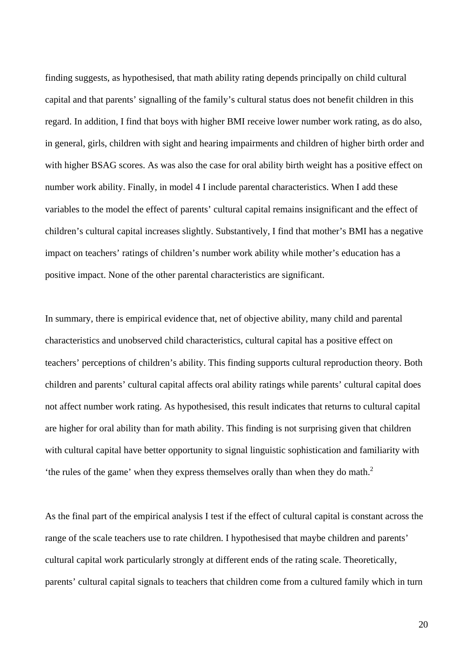finding suggests, as hypothesised, that math ability rating depends principally on child cultural capital and that parents' signalling of the family's cultural status does not benefit children in this regard. In addition, I find that boys with higher BMI receive lower number work rating, as do also, in general, girls, children with sight and hearing impairments and children of higher birth order and with higher BSAG scores. As was also the case for oral ability birth weight has a positive effect on number work ability. Finally, in model 4 I include parental characteristics. When I add these variables to the model the effect of parents' cultural capital remains insignificant and the effect of children's cultural capital increases slightly. Substantively, I find that mother's BMI has a negative impact on teachers' ratings of children's number work ability while mother's education has a positive impact. None of the other parental characteristics are significant.

In summary, there is empirical evidence that, net of objective ability, many child and parental characteristics and unobserved child characteristics, cultural capital has a positive effect on teachers' perceptions of children's ability. This finding supports cultural reproduction theory. Both children and parents' cultural capital affects oral ability ratings while parents' cultural capital does not affect number work rating. As hypothesised, this result indicates that returns to cultural capital are higher for oral ability than for math ability. This finding is not surprising given that children with cultural capital have better opportunity to signal linguistic sophistication and familiarity with 'the rules of the game' when they express themselves orally than when they do math. $2$ 

As the final part of the empirical analysis I test if the effect of cultural capital is constant across the range of the scale teachers use to rate children. I hypothesised that maybe children and parents' cultural capital work particularly strongly at different ends of the rating scale. Theoretically, parents' cultural capital signals to teachers that children come from a cultured family which in turn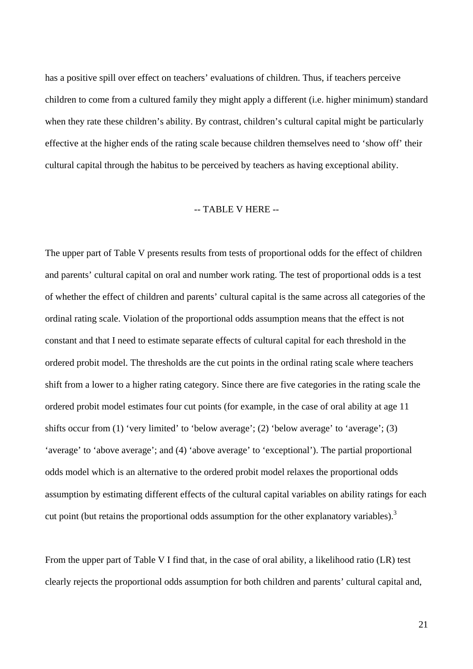has a positive spill over effect on teachers' evaluations of children. Thus, if teachers perceive children to come from a cultured family they might apply a different (i.e. higher minimum) standard when they rate these children's ability. By contrast, children's cultural capital might be particularly effective at the higher ends of the rating scale because children themselves need to 'show off' their cultural capital through the habitus to be perceived by teachers as having exceptional ability.

# -- TABLE V HERE --

The upper part of Table V presents results from tests of proportional odds for the effect of children and parents' cultural capital on oral and number work rating. The test of proportional odds is a test of whether the effect of children and parents' cultural capital is the same across all categories of the ordinal rating scale. Violation of the proportional odds assumption means that the effect is not constant and that I need to estimate separate effects of cultural capital for each threshold in the ordered probit model. The thresholds are the cut points in the ordinal rating scale where teachers shift from a lower to a higher rating category. Since there are five categories in the rating scale the ordered probit model estimates four cut points (for example, in the case of oral ability at age 11 shifts occur from (1) 'very limited' to 'below average'; (2) 'below average' to 'average'; (3) 'average' to 'above average'; and (4) 'above average' to 'exceptional'). The partial proportional odds model which is an alternative to the ordered probit model relaxes the proportional odds assumption by estimating different effects of the cultural capital variables on ability ratings for each cut point (but retains the proportional odds assumption for the other explanatory variables).<sup>3</sup>

From the upper part of Table V I find that, in the case of oral ability, a likelihood ratio (LR) test clearly rejects the proportional odds assumption for both children and parents' cultural capital and,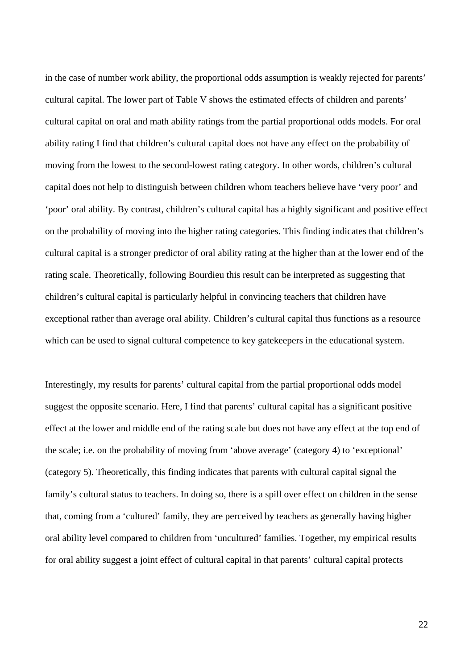in the case of number work ability, the proportional odds assumption is weakly rejected for parents' cultural capital. The lower part of Table V shows the estimated effects of children and parents' cultural capital on oral and math ability ratings from the partial proportional odds models. For oral ability rating I find that children's cultural capital does not have any effect on the probability of moving from the lowest to the second-lowest rating category. In other words, children's cultural capital does not help to distinguish between children whom teachers believe have 'very poor' and 'poor' oral ability. By contrast, children's cultural capital has a highly significant and positive effect on the probability of moving into the higher rating categories. This finding indicates that children's cultural capital is a stronger predictor of oral ability rating at the higher than at the lower end of the rating scale. Theoretically, following Bourdieu this result can be interpreted as suggesting that children's cultural capital is particularly helpful in convincing teachers that children have exceptional rather than average oral ability. Children's cultural capital thus functions as a resource which can be used to signal cultural competence to key gatekeepers in the educational system.

Interestingly, my results for parents' cultural capital from the partial proportional odds model suggest the opposite scenario. Here, I find that parents' cultural capital has a significant positive effect at the lower and middle end of the rating scale but does not have any effect at the top end of the scale; i.e. on the probability of moving from 'above average' (category 4) to 'exceptional' (category 5). Theoretically, this finding indicates that parents with cultural capital signal the family's cultural status to teachers. In doing so, there is a spill over effect on children in the sense that, coming from a 'cultured' family, they are perceived by teachers as generally having higher oral ability level compared to children from 'uncultured' families. Together, my empirical results for oral ability suggest a joint effect of cultural capital in that parents' cultural capital protects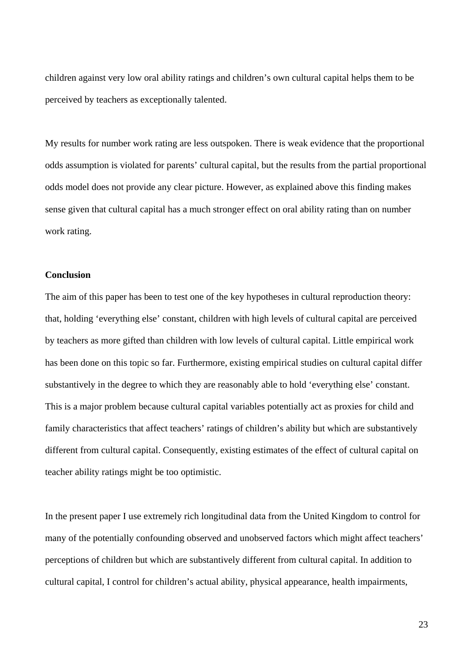children against very low oral ability ratings and children's own cultural capital helps them to be perceived by teachers as exceptionally talented.

My results for number work rating are less outspoken. There is weak evidence that the proportional odds assumption is violated for parents' cultural capital, but the results from the partial proportional odds model does not provide any clear picture. However, as explained above this finding makes sense given that cultural capital has a much stronger effect on oral ability rating than on number work rating.

# **Conclusion**

The aim of this paper has been to test one of the key hypotheses in cultural reproduction theory: that, holding 'everything else' constant, children with high levels of cultural capital are perceived by teachers as more gifted than children with low levels of cultural capital. Little empirical work has been done on this topic so far. Furthermore, existing empirical studies on cultural capital differ substantively in the degree to which they are reasonably able to hold 'everything else' constant. This is a major problem because cultural capital variables potentially act as proxies for child and family characteristics that affect teachers' ratings of children's ability but which are substantively different from cultural capital. Consequently, existing estimates of the effect of cultural capital on teacher ability ratings might be too optimistic.

In the present paper I use extremely rich longitudinal data from the United Kingdom to control for many of the potentially confounding observed and unobserved factors which might affect teachers' perceptions of children but which are substantively different from cultural capital. In addition to cultural capital, I control for children's actual ability, physical appearance, health impairments,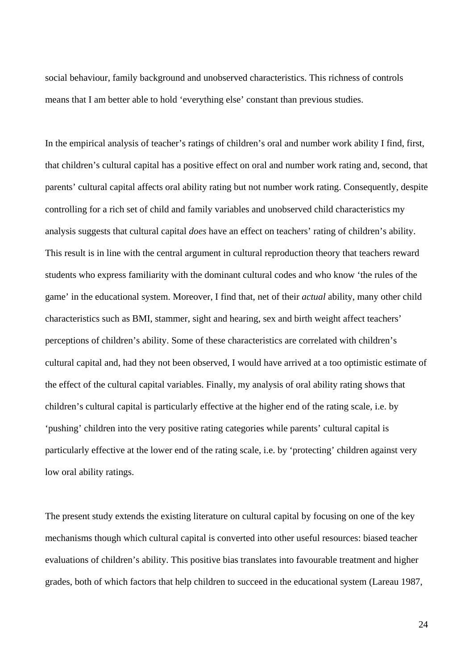social behaviour, family background and unobserved characteristics. This richness of controls means that I am better able to hold 'everything else' constant than previous studies.

In the empirical analysis of teacher's ratings of children's oral and number work ability I find, first, that children's cultural capital has a positive effect on oral and number work rating and, second, that parents' cultural capital affects oral ability rating but not number work rating. Consequently, despite controlling for a rich set of child and family variables and unobserved child characteristics my analysis suggests that cultural capital *does* have an effect on teachers' rating of children's ability. This result is in line with the central argument in cultural reproduction theory that teachers reward students who express familiarity with the dominant cultural codes and who know 'the rules of the game' in the educational system. Moreover, I find that, net of their *actual* ability, many other child characteristics such as BMI, stammer, sight and hearing, sex and birth weight affect teachers' perceptions of children's ability. Some of these characteristics are correlated with children's cultural capital and, had they not been observed, I would have arrived at a too optimistic estimate of the effect of the cultural capital variables. Finally, my analysis of oral ability rating shows that children's cultural capital is particularly effective at the higher end of the rating scale, i.e. by 'pushing' children into the very positive rating categories while parents' cultural capital is particularly effective at the lower end of the rating scale, i.e. by 'protecting' children against very low oral ability ratings.

The present study extends the existing literature on cultural capital by focusing on one of the key mechanisms though which cultural capital is converted into other useful resources: biased teacher evaluations of children's ability. This positive bias translates into favourable treatment and higher grades, both of which factors that help children to succeed in the educational system (Lareau 1987,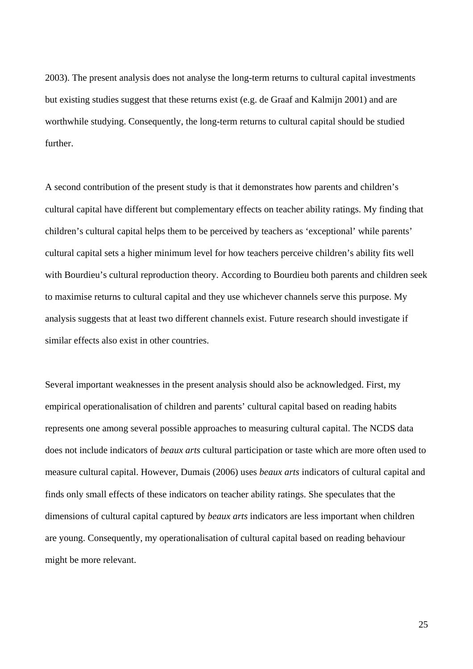2003). The present analysis does not analyse the long-term returns to cultural capital investments but existing studies suggest that these returns exist (e.g. de Graaf and Kalmijn 2001) and are worthwhile studying. Consequently, the long-term returns to cultural capital should be studied further.

A second contribution of the present study is that it demonstrates how parents and children's cultural capital have different but complementary effects on teacher ability ratings. My finding that children's cultural capital helps them to be perceived by teachers as 'exceptional' while parents' cultural capital sets a higher minimum level for how teachers perceive children's ability fits well with Bourdieu's cultural reproduction theory. According to Bourdieu both parents and children seek to maximise returns to cultural capital and they use whichever channels serve this purpose. My analysis suggests that at least two different channels exist. Future research should investigate if similar effects also exist in other countries.

Several important weaknesses in the present analysis should also be acknowledged. First, my empirical operationalisation of children and parents' cultural capital based on reading habits represents one among several possible approaches to measuring cultural capital. The NCDS data does not include indicators of *beaux arts* cultural participation or taste which are more often used to measure cultural capital. However, Dumais (2006) uses *beaux arts* indicators of cultural capital and finds only small effects of these indicators on teacher ability ratings. She speculates that the dimensions of cultural capital captured by *beaux arts* indicators are less important when children are young. Consequently, my operationalisation of cultural capital based on reading behaviour might be more relevant.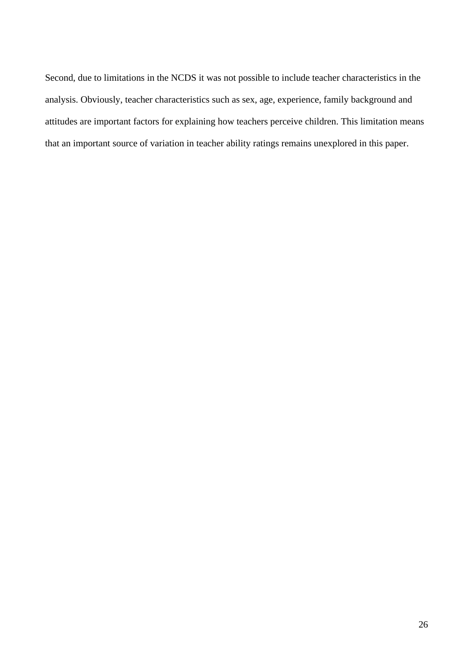Second, due to limitations in the NCDS it was not possible to include teacher characteristics in the analysis. Obviously, teacher characteristics such as sex, age, experience, family background and attitudes are important factors for explaining how teachers perceive children. This limitation means that an important source of variation in teacher ability ratings remains unexplored in this paper.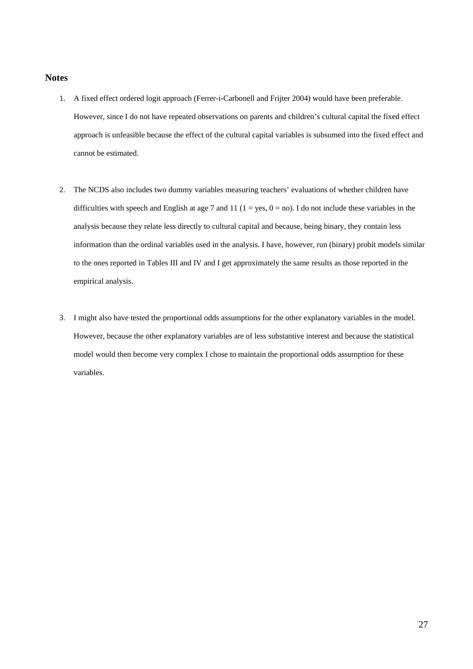# **Notes**

- 1. A fixed effect ordered logit approach (Ferrer-i-Carbonell and Frijter 2004) would have been preferable. However, since I do not have repeated observations on parents and children's cultural capital the fixed effect approach is unfeasible because the effect of the cultural capital variables is subsumed into the fixed effect and cannot be estimated.
- 2. The NCDS also includes two dummy variables measuring teachers' evaluations of whether children have difficulties with speech and English at age 7 and 11 ( $1 = yes$ ,  $0 = no$ ). I do not include these variables in the analysis because they relate less directly to cultural capital and because, being binary, they contain less information than the ordinal variables used in the analysis. I have, however, run (binary) probit models similar to the ones reported in Tables III and IV and I get approximately the same results as those reported in the empirical analysis.
- 3. I might also have tested the proportional odds assumptions for the other explanatory variables in the model. However, because the other explanatory variables are of less substantive interest and because the statistical model would then become very complex I chose to maintain the proportional odds assumption for these variables.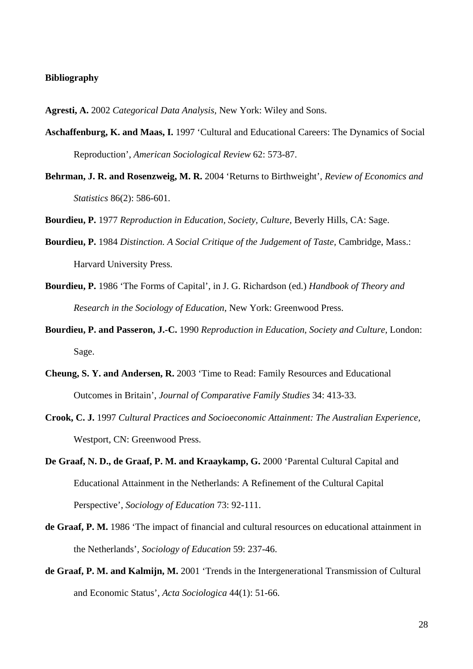#### **Bibliography**

- **Agresti, A.** 2002 *Categorical Data Analysis,* New York: Wiley and Sons.
- **Aschaffenburg, K. and Maas, I.** 1997 'Cultural and Educational Careers: The Dynamics of Social Reproduction', *American Sociological Review* 62: 573-87.
- **Behrman, J. R. and Rosenzweig, M. R.** 2004 'Returns to Birthweight', *Review of Economics and Statistics* 86(2): 586-601.
- **Bourdieu, P.** 1977 *Reproduction in Education, Society, Culture,* Beverly Hills, CA: Sage.
- **Bourdieu, P.** 1984 *Distinction. A Social Critique of the Judgement of Taste,* Cambridge, Mass.: Harvard University Press.
- **Bourdieu, P.** 1986 'The Forms of Capital', in J. G. Richardson (ed.) *Handbook of Theory and Research in the Sociology of Education*, New York: Greenwood Press.
- **Bourdieu, P. and Passeron, J.-C.** 1990 *Reproduction in Education, Society and Culture,* London: Sage.
- **Cheung, S. Y. and Andersen, R.** 2003 'Time to Read: Family Resources and Educational Outcomes in Britain', *Journal of Comparative Family Studies* 34: 413-33.
- **Crook, C. J.** 1997 *Cultural Practices and Socioeconomic Attainment: The Australian Experience,* Westport, CN: Greenwood Press.
- **De Graaf, N. D., de Graaf, P. M. and Kraaykamp, G.** 2000 'Parental Cultural Capital and Educational Attainment in the Netherlands: A Refinement of the Cultural Capital Perspective', *Sociology of Education* 73: 92-111.
- **de Graaf, P. M.** 1986 'The impact of financial and cultural resources on educational attainment in the Netherlands', *Sociology of Education* 59: 237-46.
- **de Graaf, P. M. and Kalmijn, M.** 2001 'Trends in the Intergenerational Transmission of Cultural and Economic Status', *Acta Sociologica* 44(1): 51-66.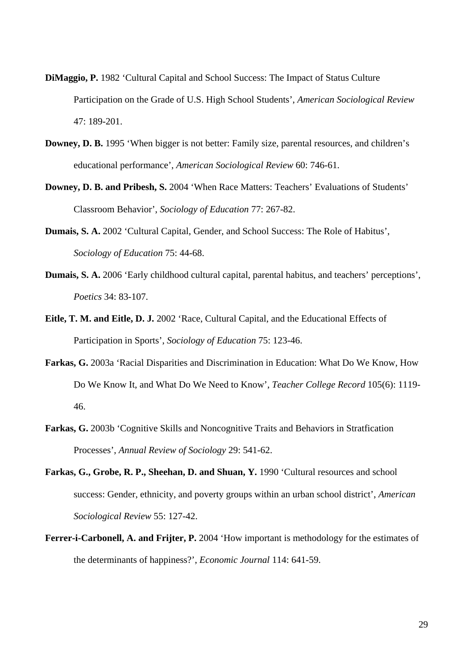- **DiMaggio, P.** 1982 'Cultural Capital and School Success: The Impact of Status Culture Participation on the Grade of U.S. High School Students', *American Sociological Review* 47: 189-201.
- **Downey, D. B.** 1995 'When bigger is not better: Family size, parental resources, and children's educational performance', *American Sociological Review* 60: 746-61.
- **Downey, D. B. and Pribesh, S.** 2004 'When Race Matters: Teachers' Evaluations of Students' Classroom Behavior', *Sociology of Education* 77: 267-82.
- **Dumais, S. A.** 2002 'Cultural Capital, Gender, and School Success: The Role of Habitus', *Sociology of Education* 75: 44-68.
- **Dumais, S. A.** 2006 'Early childhood cultural capital, parental habitus, and teachers' perceptions', *Poetics* 34: 83-107.
- **Eitle, T. M. and Eitle, D. J.** 2002 'Race, Cultural Capital, and the Educational Effects of Participation in Sports', *Sociology of Education* 75: 123-46.
- **Farkas, G.** 2003a 'Racial Disparities and Discrimination in Education: What Do We Know, How Do We Know It, and What Do We Need to Know', *Teacher College Record* 105(6): 1119- 46.
- **Farkas, G.** 2003b 'Cognitive Skills and Noncognitive Traits and Behaviors in Stratfication Processes', *Annual Review of Sociology* 29: 541-62.
- Farkas, G., Grobe, R. P., Sheehan, D. and Shuan, Y. 1990 'Cultural resources and school success: Gender, ethnicity, and poverty groups within an urban school district', *American Sociological Review* 55: 127-42.
- Ferrer-i-Carbonell, A. and Frijter, P. 2004 'How important is methodology for the estimates of the determinants of happiness?', *Economic Journal* 114: 641-59.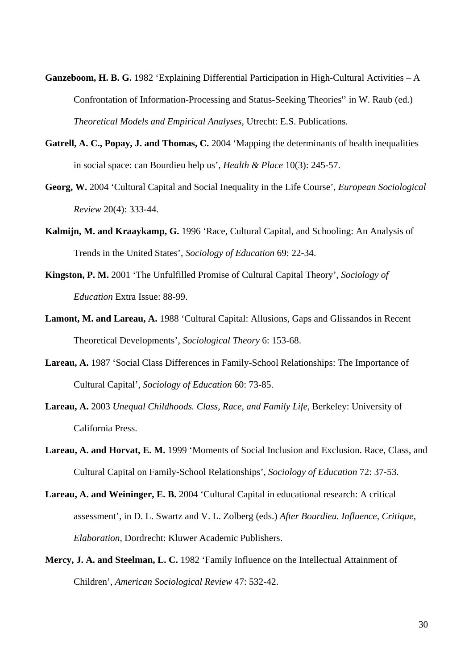- **Ganzeboom, H. B. G.** 1982 'Explaining Differential Participation in High-Cultural Activities A Confrontation of Information-Processing and Status-Seeking Theories'' in W. Raub (ed.) *Theoretical Models and Empirical Analyses*, Utrecht: E.S. Publications.
- Gatrell, A. C., Popay, J. and Thomas, C. 2004 'Mapping the determinants of health inequalities in social space: can Bourdieu help us', *Health & Place* 10(3): 245-57.
- **Georg, W.** 2004 'Cultural Capital and Social Inequality in the Life Course', *European Sociological Review* 20(4): 333-44.
- **Kalmijn, M. and Kraaykamp, G.** 1996 'Race, Cultural Capital, and Schooling: An Analysis of Trends in the United States', *Sociology of Education* 69: 22-34.
- **Kingston, P. M.** 2001 'The Unfulfilled Promise of Cultural Capital Theory', *Sociology of Education* Extra Issue: 88-99.
- **Lamont, M. and Lareau, A.** 1988 'Cultural Capital: Allusions, Gaps and Glissandos in Recent Theoretical Developments', *Sociological Theory* 6: 153-68.
- **Lareau, A.** 1987 'Social Class Differences in Family-School Relationships: The Importance of Cultural Capital', *Sociology of Education* 60: 73-85.
- **Lareau, A.** 2003 *Unequal Childhoods. Class, Race, and Family Life,* Berkeley: University of California Press.
- **Lareau, A. and Horvat, E. M.** 1999 'Moments of Social Inclusion and Exclusion. Race, Class, and Cultural Capital on Family-School Relationships', *Sociology of Education* 72: 37-53.
- **Lareau, A. and Weininger, E. B.** 2004 'Cultural Capital in educational research: A critical assessment', in D. L. Swartz and V. L. Zolberg (eds.) *After Bourdieu. Influence, Critique, Elaboration*, Dordrecht: Kluwer Academic Publishers.
- **Mercy, J. A. and Steelman, L. C.** 1982 'Family Influence on the Intellectual Attainment of Children', *American Sociological Review* 47: 532-42.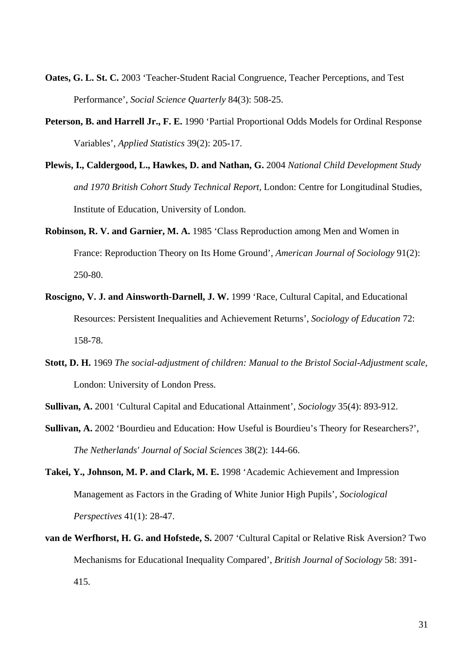- **Oates, G. L. St. C.** 2003 'Teacher-Student Racial Congruence, Teacher Perceptions, and Test Performance', *Social Science Quarterly* 84(3): 508-25.
- **Peterson, B. and Harrell Jr., F. E.** 1990 'Partial Proportional Odds Models for Ordinal Response Variables', *Applied Statistics* 39(2): 205-17.
- **Plewis, I., Caldergood, L., Hawkes, D. and Nathan, G.** 2004 *National Child Development Study and 1970 British Cohort Study Technical Report,* London: Centre for Longitudinal Studies, Institute of Education, University of London.
- **Robinson, R. V. and Garnier, M. A.** 1985 'Class Reproduction among Men and Women in France: Reproduction Theory on Its Home Ground', *American Journal of Sociology* 91(2): 250-80.
- **Roscigno, V. J. and Ainsworth-Darnell, J. W.** 1999 'Race, Cultural Capital, and Educational Resources: Persistent Inequalities and Achievement Returns', *Sociology of Education* 72: 158-78.
- **Stott, D. H.** 1969 *The social-adjustment of children: Manual to the Bristol Social-Adjustment scale,* London: University of London Press.

**Sullivan, A.** 2001 'Cultural Capital and Educational Attainment', *Sociology* 35(4): 893-912.

- **Sullivan, A.** 2002 'Bourdieu and Education: How Useful is Bourdieu's Theory for Researchers?', *The Netherlands' Journal of Social Sciences* 38(2): 144-66.
- Takei, Y., Johnson, M. P. and Clark, M. E. 1998 'Academic Achievement and Impression Management as Factors in the Grading of White Junior High Pupils', *Sociological Perspectives* 41(1): 28-47.
- **van de Werfhorst, H. G. and Hofstede, S.** 2007 'Cultural Capital or Relative Risk Aversion? Two Mechanisms for Educational Inequality Compared', *British Journal of Sociology* 58: 391- 415.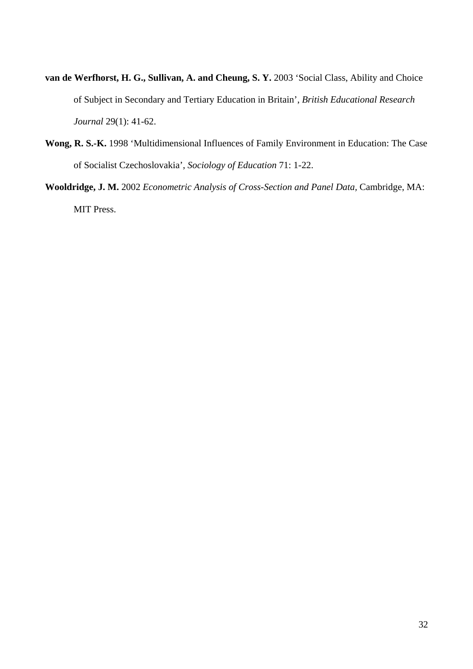- van de Werfhorst, H. G., Sullivan, A. and Cheung, S. Y. 2003 'Social Class, Ability and Choice of Subject in Secondary and Tertiary Education in Britain', *British Educational Research Journal* 29(1): 41-62.
- **Wong, R. S.-K.** 1998 'Multidimensional Influences of Family Environment in Education: The Case of Socialist Czechoslovakia', *Sociology of Education* 71: 1-22.
- **Wooldridge, J. M.** 2002 *Econometric Analysis of Cross-Section and Panel Data,* Cambridge, MA: MIT Press.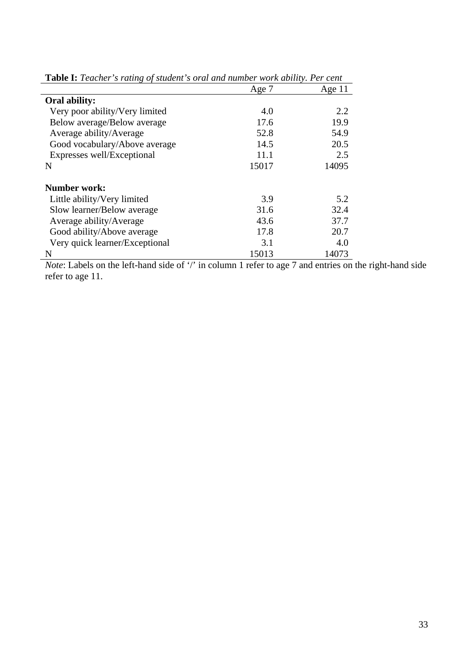| <b>Lable 1.</b> Leather Straing of statent Strain and hamber work dollary. Let cent |       |          |  |
|-------------------------------------------------------------------------------------|-------|----------|--|
|                                                                                     | Age 7 | Age $11$ |  |
| Oral ability:                                                                       |       |          |  |
| Very poor ability/Very limited                                                      | 4.0   | 2.2      |  |
| Below average/Below average                                                         | 17.6  | 19.9     |  |
| Average ability/Average                                                             | 52.8  | 54.9     |  |
| Good vocabulary/Above average                                                       | 14.5  | 20.5     |  |
| Expresses well/Exceptional                                                          | 11.1  | 2.5      |  |
| N                                                                                   | 15017 | 14095    |  |
| <b>Number work:</b>                                                                 |       |          |  |
| Little ability/Very limited                                                         | 3.9   | 5.2      |  |
| Slow learner/Below average                                                          | 31.6  | 32.4     |  |
| Average ability/Average                                                             | 43.6  | 37.7     |  |
| Good ability/Above average                                                          | 17.8  | 20.7     |  |
| Very quick learner/Exceptional                                                      | 3.1   | 4.0      |  |
| N                                                                                   | 15013 | 14073    |  |

**Table I:** *Teacher's rating of student's oral and number work ability. Per cent*

*Note*: Labels on the left-hand side of '/' in column 1 refer to age 7 and entries on the right-hand side refer to age 11.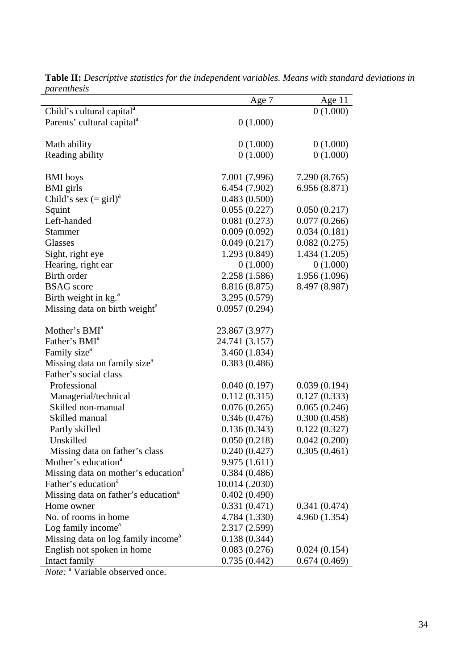|                                                 | Age 7          | Age $11$      |
|-------------------------------------------------|----------------|---------------|
| Child's cultural capital <sup>a</sup>           |                | 0(1.000)      |
| Parents' cultural capital <sup>a</sup>          | 0(1.000)       |               |
|                                                 |                |               |
| Math ability                                    | 0(1.000)       | 0(1.000)      |
| Reading ability                                 | 0(1.000)       | 0(1.000)      |
|                                                 |                |               |
| <b>BMI</b> boys                                 | 7.001 (7.996)  | 7.290 (8.765) |
| <b>BMI</b> girls                                | 6.454 (7.902)  | 6.956(8.871)  |
| Child's sex $(=\text{girl})^a$                  | 0.483(0.500)   |               |
| Squint                                          | 0.055(0.227)   | 0.050(0.217)  |
| Left-handed                                     | 0.081(0.273)   | 0.077(0.266)  |
| <b>Stammer</b>                                  | 0.009(0.092)   | 0.034(0.181)  |
| Glasses                                         | 0.049(0.217)   | 0.082(0.275)  |
| Sight, right eye                                | 1.293 (0.849)  | 1.434(1.205)  |
| Hearing, right ear                              | 0(1.000)       | 0(1.000)      |
| Birth order                                     | 2.258 (1.586)  | 1.956 (1.096) |
| <b>BSAG</b> score                               | 8.816 (8.875)  | 8.497 (8.987) |
| Birth weight in kg. <sup>a</sup>                | 3.295 (0.579)  |               |
| Missing data on birth weight <sup>a</sup>       | 0.0957(0.294)  |               |
| Mother's BMI <sup>a</sup>                       | 23.867 (3.977) |               |
| Father's BMI <sup>a</sup>                       | 24.741 (3.157) |               |
| Family size <sup>a</sup>                        | 3.460(1.834)   |               |
| Missing data on family size <sup>a</sup>        | 0.383(0.486)   |               |
| Father's social class                           |                |               |
| Professional                                    | 0.040(0.197)   | 0.039(0.194)  |
| Managerial/technical                            | 0.112(0.315)   | 0.127(0.333)  |
| Skilled non-manual                              | 0.076(0.265)   | 0.065(0.246)  |
| Skilled manual                                  | 0.346(0.476)   | 0.300(0.458)  |
| Partly skilled                                  | 0.136(0.343)   | 0.122(0.327)  |
| Unskilled                                       | 0.050(0.218)   | 0.042(0.200)  |
| Missing data on father's class                  | 0.240(0.427)   | 0.305(0.461)  |
| Mother's education <sup>a</sup>                 | 9.975(1.611)   |               |
| Missing data on mother's education <sup>a</sup> | 0.384(0.486)   |               |
| Father's education <sup>a</sup>                 | 10.014 (.2030) |               |
| Missing data on father's education <sup>a</sup> | 0.402(0.490)   |               |
| Home owner                                      | 0.331(0.471)   | 0.341(0.474)  |
| No. of rooms in home                            | 4.784 (1.330)  | 4.960(1.354)  |
| Log family income <sup>a</sup>                  | 2.317 (2.599)  |               |
| Missing data on log family income <sup>a</sup>  | 0.138(0.344)   |               |
|                                                 | 0.083(0.276)   |               |
| English not spoken in home                      |                | 0.024(0.154)  |
| Intact family                                   | 0.735(0.442)   | 0.674(0.469)  |

**Table II:** *Descriptive statistics for the independent variables. Means with standard deviations in parenthesis*

*Note:* <sup>a</sup> Variable observed once.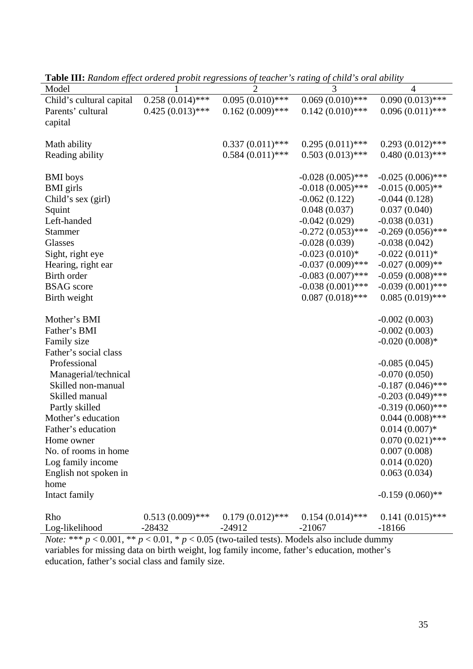| <b>газне 111.</b> нападні сурсеготастся ртови технозовим ду неаснет з тайн <sub>о</sub> ду спис з отагавни |                    |                    |                     |                     |
|------------------------------------------------------------------------------------------------------------|--------------------|--------------------|---------------------|---------------------|
| Model                                                                                                      |                    | $\overline{2}$     | 3                   | $\overline{4}$      |
| Child's cultural capital                                                                                   | $0.258(0.014)$ *** | $0.095(0.010)$ *** | $0.069(0.010)*$ *** | $0.090(0.013)$ ***  |
| Parents' cultural                                                                                          | $0.425(0.013)$ *** | $0.162(0.009)$ *** | $0.142(0.010)$ ***  | $0.096(0.011)$ ***  |
| capital                                                                                                    |                    |                    |                     |                     |
|                                                                                                            |                    |                    |                     |                     |
| Math ability                                                                                               |                    | $0.337(0.011)$ *** | $0.295(0.011)$ ***  | $0.293(0.012)$ ***  |
| Reading ability                                                                                            |                    | $0.584(0.011)$ *** | $0.503(0.013)$ ***  | $0.480(0.013)$ ***  |
|                                                                                                            |                    |                    |                     |                     |
| <b>BMI</b> boys                                                                                            |                    |                    | $-0.028(0.005)$ *** | $-0.025(0.006)$ *** |
| <b>BMI</b> girls                                                                                           |                    |                    | $-0.018(0.005)$ *** | $-0.015(0.005)$ **  |
| Child's sex (girl)                                                                                         |                    |                    | $-0.062(0.122)$     | $-0.044(0.128)$     |
| Squint                                                                                                     |                    |                    | 0.048(0.037)        | 0.037(0.040)        |
| Left-handed                                                                                                |                    |                    | $-0.042(0.029)$     | $-0.038(0.031)$     |
| <b>Stammer</b>                                                                                             |                    |                    | $-0.272(0.053)$ *** | $-0.269(0.056)$ *** |
| <b>Glasses</b>                                                                                             |                    |                    | $-0.028(0.039)$     | $-0.038(0.042)$     |
| Sight, right eye                                                                                           |                    |                    | $-0.023(0.010)*$    | $-0.022(0.011)$ *   |
| Hearing, right ear                                                                                         |                    |                    | $-0.037(0.009)$ *** | $-0.027(0.009)$ **  |
| <b>Birth order</b>                                                                                         |                    |                    | $-0.083(0.007)$ *** | $-0.059(0.008)$ *** |
| <b>BSAG</b> score                                                                                          |                    |                    | $-0.038(0.001)$ *** | $-0.039(0.001)$ *** |
|                                                                                                            |                    |                    | $0.087(0.018)$ ***  | $0.085(0.019)$ ***  |
| Birth weight                                                                                               |                    |                    |                     |                     |
| Mother's BMI                                                                                               |                    |                    |                     | $-0.002(0.003)$     |
| Father's BMI                                                                                               |                    |                    |                     | $-0.002(0.003)$     |
| Family size                                                                                                |                    |                    |                     | $-0.020(0.008)*$    |
| Father's social class                                                                                      |                    |                    |                     |                     |
| Professional                                                                                               |                    |                    |                     | $-0.085(0.045)$     |
| Managerial/technical                                                                                       |                    |                    |                     | $-0.070(0.050)$     |
| Skilled non-manual                                                                                         |                    |                    |                     | $-0.187(0.046)$ *** |
| Skilled manual                                                                                             |                    |                    |                     | $-0.203(0.049)$ *** |
|                                                                                                            |                    |                    |                     | $-0.319(0.060)$ *** |
| Partly skilled<br>Mother's education                                                                       |                    |                    |                     |                     |
|                                                                                                            |                    |                    |                     | $0.044(0.008)$ ***  |
| Father's education                                                                                         |                    |                    |                     | $0.014(0.007)*$     |
| Home owner                                                                                                 |                    |                    |                     | $0.070(0.021)$ ***  |
| No. of rooms in home                                                                                       |                    |                    |                     | 0.007(0.008)        |
| Log family income                                                                                          |                    |                    |                     | 0.014(0.020)        |
| English not spoken in                                                                                      |                    |                    |                     | 0.063(0.034)        |
| home                                                                                                       |                    |                    |                     |                     |
| Intact family                                                                                              |                    |                    |                     | $-0.159(0.060)$ **  |
| Rho                                                                                                        | $0.513(0.009)$ *** | $0.179(0.012)$ *** | $0.154(0.014)$ ***  | $0.141(0.015)$ ***  |
| Log-likelihood                                                                                             | $-28432$           | $-24912$           | $-21067$            | $-18166$            |
|                                                                                                            |                    |                    |                     |                     |

**Table III:** *Random effect ordered probit regressions of teacher's rating of child's oral ability*

*Note:* \*\*\*  $p < 0.001$ , \*\*  $p < 0.01$ , \*  $p < 0.05$  (two-tailed tests). Models also include dummy variables for missing data on birth weight, log family income, father's education, mother's education, father's social class and family size.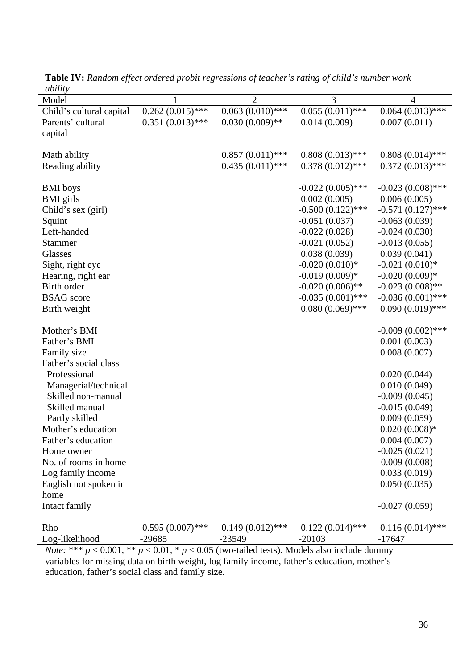| abuuty                   |                    |                    |                     |                     |
|--------------------------|--------------------|--------------------|---------------------|---------------------|
| Model                    | 1                  | $\overline{2}$     | 3                   | $\overline{4}$      |
| Child's cultural capital | $0.262(0.015)$ *** | $0.063(0.010)$ *** | $0.055(0.011)$ ***  | $0.064(0.013)$ ***  |
| Parents' cultural        | $0.351(0.013)$ *** | $0.030(0.009)$ **  | 0.014(0.009)        | 0.007(0.011)        |
| capital                  |                    |                    |                     |                     |
|                          |                    |                    |                     |                     |
| Math ability             |                    | $0.857(0.011)$ *** | $0.808(0.013)$ ***  | $0.808(0.014)$ ***  |
| Reading ability          |                    | $0.435(0.011)$ *** | $0.378(0.012)$ ***  | $0.372(0.013)$ ***  |
|                          |                    |                    |                     |                     |
| <b>BMI</b> boys          |                    |                    | $-0.022(0.005)$ *** | $-0.023(0.008)$ *** |
| <b>BMI</b> girls         |                    |                    | 0.002(0.005)        | 0.006(0.005)        |
| Child's sex (girl)       |                    |                    | $-0.500(0.122)$ *** | $-0.571(0.127)$ *** |
| Squint                   |                    |                    | $-0.051(0.037)$     | $-0.063(0.039)$     |
| Left-handed              |                    |                    | $-0.022(0.028)$     | $-0.024(0.030)$     |
| <b>Stammer</b>           |                    |                    | $-0.021(0.052)$     | $-0.013(0.055)$     |
| Glasses                  |                    |                    | 0.038(0.039)        | 0.039(0.041)        |
|                          |                    |                    | $-0.020(0.010)*$    |                     |
| Sight, right eye         |                    |                    |                     | $-0.021(0.010)*$    |
| Hearing, right ear       |                    |                    | $-0.019(0.009)*$    | $-0.020(0.009)*$    |
| Birth order              |                    |                    | $-0.020(0.006)$ **  | $-0.023(0.008)$ **  |
| <b>BSAG</b> score        |                    |                    | $-0.035(0.001)$ *** | $-0.036(0.001)$ *** |
| Birth weight             |                    |                    | $0.080(0.069)$ ***  | $0.090(0.019)$ ***  |
|                          |                    |                    |                     |                     |
| Mother's BMI             |                    |                    |                     | $-0.009(0.002)$ *** |
| Father's BMI             |                    |                    |                     | 0.001(0.003)        |
| Family size              |                    |                    |                     | 0.008(0.007)        |
| Father's social class    |                    |                    |                     |                     |
| Professional             |                    |                    |                     | 0.020(0.044)        |
| Managerial/technical     |                    |                    |                     | 0.010(0.049)        |
| Skilled non-manual       |                    |                    |                     | $-0.009(0.045)$     |
| Skilled manual           |                    |                    |                     | $-0.015(0.049)$     |
| Partly skilled           |                    |                    |                     | 0.009(0.059)        |
| Mother's education       |                    |                    |                     | $0.020(0.008)*$     |
| Father's education       |                    |                    |                     | 0.004(0.007)        |
| Home owner               |                    |                    |                     | $-0.025(0.021)$     |
| No. of rooms in home     |                    |                    |                     | $-0.009(0.008)$     |
| Log family income        |                    |                    |                     | 0.033(0.019)        |
| English not spoken in    |                    |                    |                     | 0.050(0.035)        |
| home                     |                    |                    |                     |                     |
| Intact family            |                    |                    |                     | $-0.027(0.059)$     |
|                          |                    |                    |                     |                     |
| Rho                      | $0.595(0.007)$ *** | $0.149(0.012)$ *** | $0.122(0.014)$ ***  | $0.116(0.014)$ ***  |
| Log-likelihood           | $-29685$           | $-23549$           | $-20103$            | $-17647$            |

**Table IV:** *Random effect ordered probit regressions of teacher's rating of child's number work ability*

*Note:* \*\*\*  $p < 0.001$ , \*\*  $p < 0.01$ , \*  $p < 0.05$  (two-tailed tests). Models also include dummy variables for missing data on birth weight, log family income, father's education, mother's education, father's social class and family size.